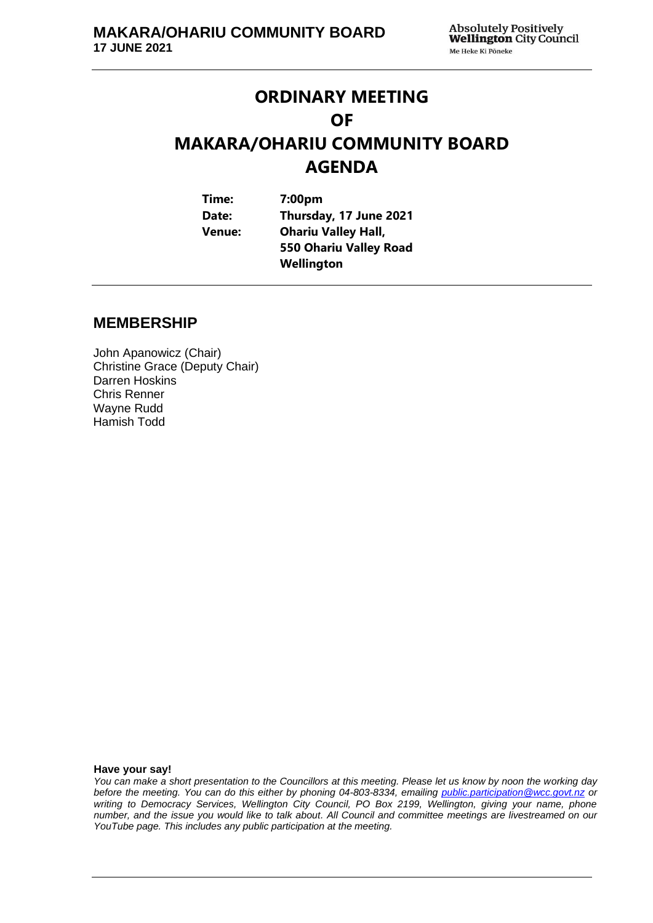# **ORDINARY MEETING OF MAKARA/OHARIU COMMUNITY BOARD AGENDA**

| Time:  | 7:00 <sub>pm</sub>         |  |
|--------|----------------------------|--|
| Date:  | Thursday, 17 June 2021     |  |
| Venue: | <b>Ohariu Valley Hall,</b> |  |
|        | 550 Ohariu Valley Road     |  |
|        | Wellington                 |  |

## **MEMBERSHIP**

John Apanowicz (Chair) Christine Grace (Deputy Chair) Darren Hoskins Chris Renner Wayne Rudd Hamish Todd

**Have your say!**

*You can make a short presentation to the Councillors at this meeting. Please let us know by noon the working day before the meeting. You can do this either by phoning 04-803-8334, emailing public.participation@wcc.govt.nz or writing to Democracy Services, Wellington City Council, PO Box 2199, Wellington, giving your name, phone number, and the issue you would like to talk about. All Council and committee meetings are livestreamed on our YouTube page. This includes any public participation at the meeting.*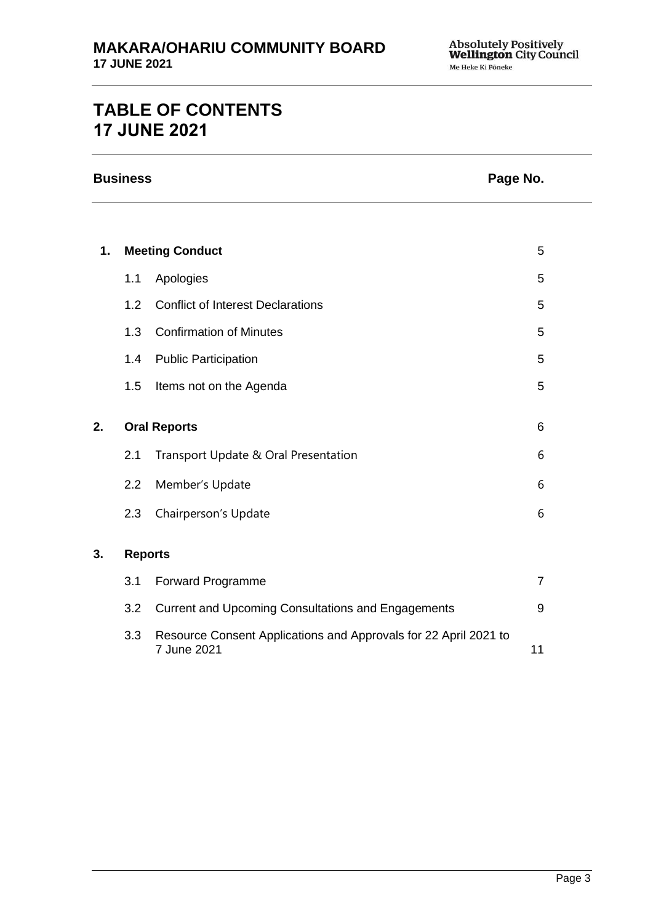# **TABLE OF CONTENTS 17 JUNE 2021**

| <b>Business</b> | Page No. |
|-----------------|----------|
|-----------------|----------|

| 1. |                | <b>Meeting Conduct</b>                                    | 5              |
|----|----------------|-----------------------------------------------------------|----------------|
|    | 1.1            | Apologies                                                 | 5              |
|    | 1.2            | <b>Conflict of Interest Declarations</b>                  | 5              |
|    | 1.3            | <b>Confirmation of Minutes</b>                            | 5              |
|    | 1.4            | <b>Public Participation</b>                               | 5              |
|    | 1.5            | Items not on the Agenda                                   | 5              |
| 2. |                | <b>Oral Reports</b>                                       | 6              |
|    | 2.1            | Transport Update & Oral Presentation                      | 6              |
|    | 2.2            | Member's Update                                           | 6              |
|    | 2.3            | Chairperson's Update                                      | 6              |
| 3. | <b>Reports</b> |                                                           |                |
|    | 3.1            | Forward Programme                                         | $\overline{7}$ |
|    | 3.2            | <b>Current and Upcoming Consultations and Engagements</b> | 9              |

3.3 Resource Consent Applications and Approvals for 22 April 2021 to [11](#page-10-0) **7 June 2021** 11 **11** 11 **11** 11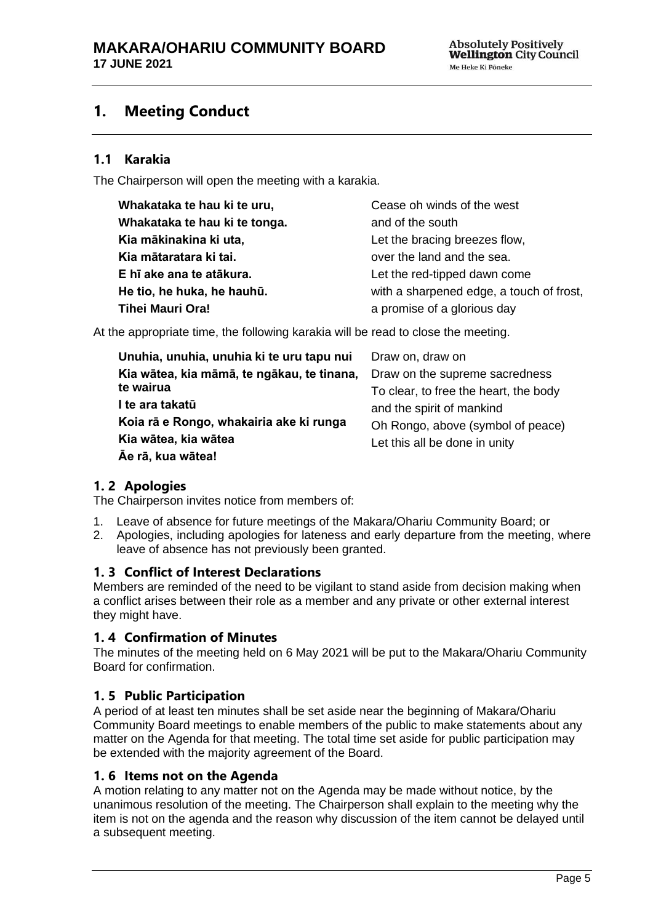## <span id="page-4-0"></span>**1. Meeting Conduct**

## **1.1 Karakia**

The Chairperson will open the meeting with a karakia.

| Whakataka te hau ki te uru,   | Cease oh winds of the west               |
|-------------------------------|------------------------------------------|
| Whakataka te hau ki te tonga. | and of the south                         |
| Kia mākinakina ki uta,        | Let the bracing breezes flow,            |
| Kia mātaratara ki tai.        | over the land and the sea.               |
| E hī ake ana te atākura.      | Let the red-tipped dawn come             |
| He tio, he huka, he hauhū.    | with a sharpened edge, a touch of frost, |
| <b>Tihei Mauri Ora!</b>       | a promise of a glorious day              |

At the appropriate time, the following karakia will be read to close the meeting.

| Unuhia, unuhia, unuhia ki te uru tapu nui  | Draw on, draw on                      |
|--------------------------------------------|---------------------------------------|
| Kia wātea, kia māmā, te ngākau, te tinana, | Draw on the supreme sacredness        |
| te wairua                                  | To clear, to free the heart, the body |
| I te ara takatū                            | and the spirit of mankind             |
| Koia rā e Rongo, whakairia ake ki runga    | Oh Rongo, above (symbol of peace)     |
| Kia wātea, kia wātea                       | Let this all be done in unity         |
| Āe rā, kua wātea!                          |                                       |

## <span id="page-4-1"></span>**1. 2 Apologies**

The Chairperson invites notice from members of:

- 1. Leave of absence for future meetings of the Makara/Ohariu Community Board; or
- 2. Apologies, including apologies for lateness and early departure from the meeting, where leave of absence has not previously been granted.

### <span id="page-4-2"></span>**1. 3 Conflict of Interest Declarations**

Members are reminded of the need to be vigilant to stand aside from decision making when a conflict arises between their role as a member and any private or other external interest they might have.

### <span id="page-4-3"></span>**1. 4 Confirmation of Minutes**

The minutes of the meeting held on 6 May 2021 will be put to the Makara/Ohariu Community Board for confirmation.

### <span id="page-4-4"></span>**1. 5 Public Participation**

A period of at least ten minutes shall be set aside near the beginning of Makara/Ohariu Community Board meetings to enable members of the public to make statements about any matter on the Agenda for that meeting. The total time set aside for public participation may be extended with the majority agreement of the Board.

#### <span id="page-4-5"></span>**1. 6 Items not on the Agenda**

A motion relating to any matter not on the Agenda may be made without notice, by the unanimous resolution of the meeting. The Chairperson shall explain to the meeting why the item is not on the agenda and the reason why discussion of the item cannot be delayed until a subsequent meeting.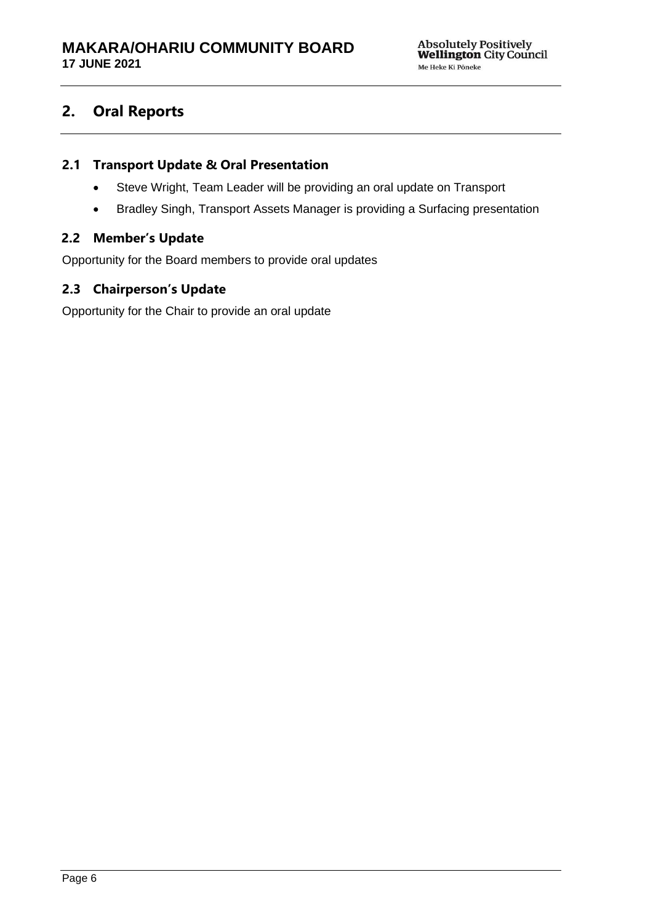## **2. Oral Reports**

## **2.1 Transport Update & Oral Presentation**

- Steve Wright, Team Leader will be providing an oral update on Transport
- Bradley Singh, Transport Assets Manager is providing a Surfacing presentation

## **2.2 Member's Update**

Opportunity for the Board members to provide oral updates

## **2.3 Chairperson's Update**

Opportunity for the Chair to provide an oral update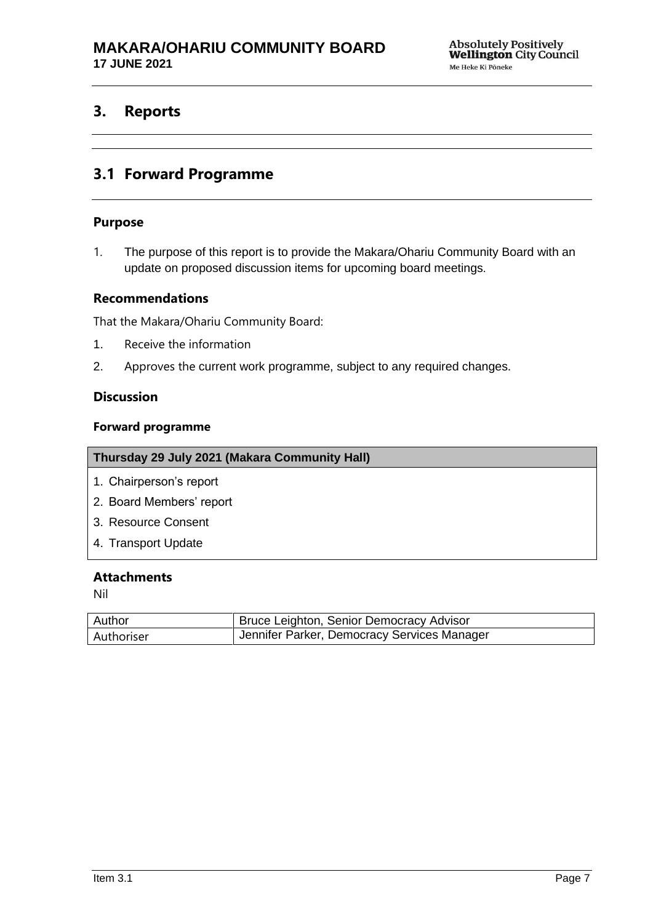## <span id="page-6-0"></span>**3. Reports**

## **3.1 Forward Programme**

#### **Purpose**

1. The purpose of this report is to provide the Makara/Ohariu Community Board with an update on proposed discussion items for upcoming board meetings.

#### **Recommendations**

That the Makara/Ohariu Community Board:

- 1. Receive the information
- 2. Approves the current work programme, subject to any required changes.

## **Discussion**

#### **Forward programme**

| Thursday 29 July 2021 (Makara Community Hall) |
|-----------------------------------------------|
| 1. Chairperson's report                       |
| 2. Board Members' report                      |
| 3. Resource Consent                           |
| 4. Transport Update                           |

#### **Attachments**

Nil

| Author     | Bruce Leighton, Senior Democracy Advisor    |
|------------|---------------------------------------------|
| Authoriser | Jennifer Parker, Democracy Services Manager |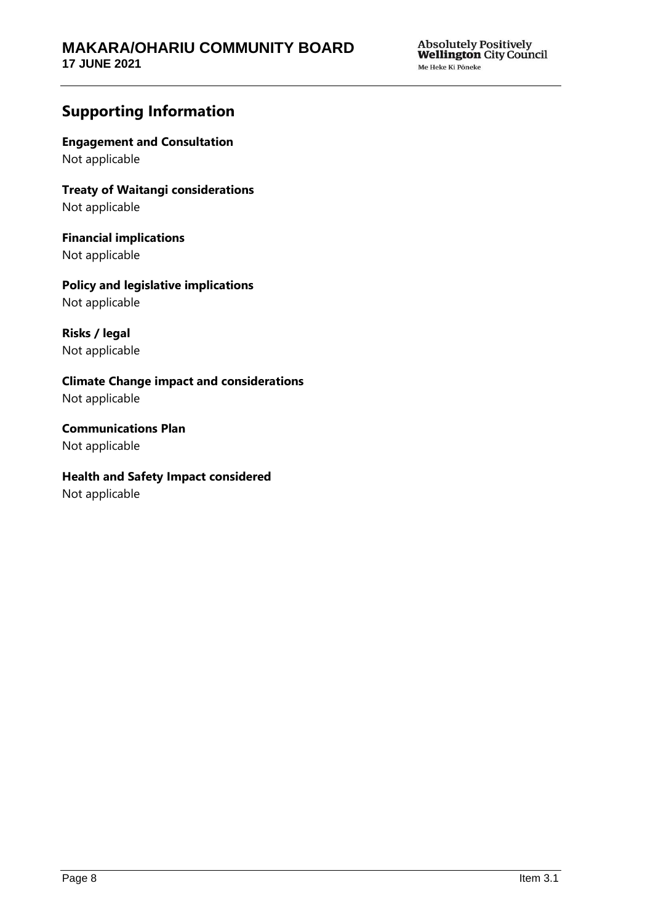## **Supporting Information**

**Engagement and Consultation** Not applicable

**Treaty of Waitangi considerations** Not applicable

**Financial implications** Not applicable

**Policy and legislative implications** Not applicable

**Risks / legal**  Not applicable

**Climate Change impact and considerations** Not applicable

**Communications Plan** Not applicable

**Health and Safety Impact considered**

Not applicable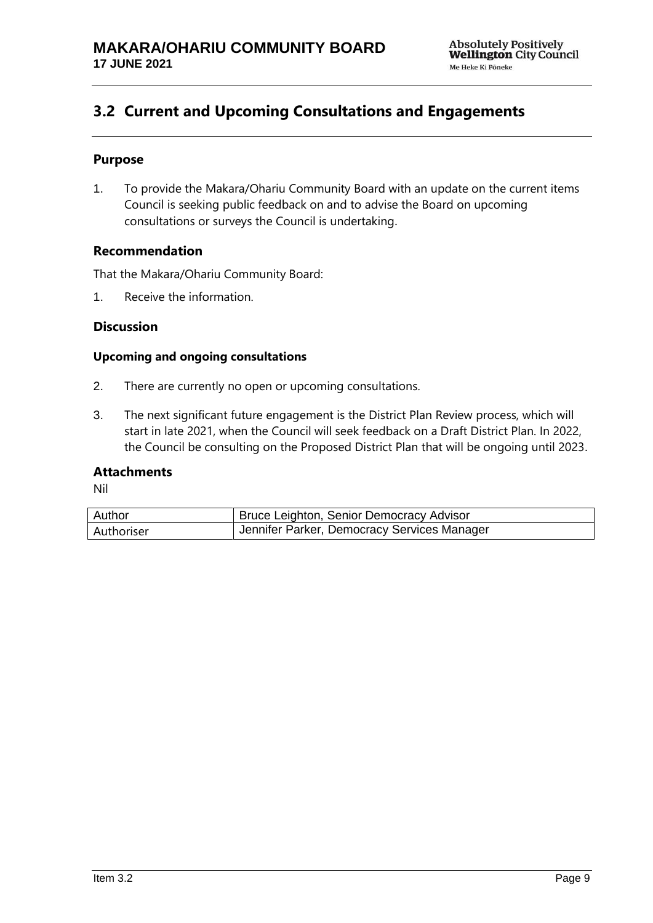## <span id="page-8-0"></span>**3.2 Current and Upcoming Consultations and Engagements**

## **Purpose**

1. To provide the Makara/Ohariu Community Board with an update on the current items Council is seeking public feedback on and to advise the Board on upcoming consultations or surveys the Council is undertaking.

### **Recommendation**

That the Makara/Ohariu Community Board:

1. Receive the information.

### **Discussion**

#### **Upcoming and ongoing consultations**

- 2. There are currently no open or upcoming consultations.
- 3. The next significant future engagement is the District Plan Review process, which will start in late 2021, when the Council will seek feedback on a Draft District Plan. In 2022, the Council be consulting on the Proposed District Plan that will be ongoing until 2023.

### **Attachments**

Nil

| Author     | Bruce Leighton, Senior Democracy Advisor    |
|------------|---------------------------------------------|
| Authoriser | Jennifer Parker, Democracy Services Manager |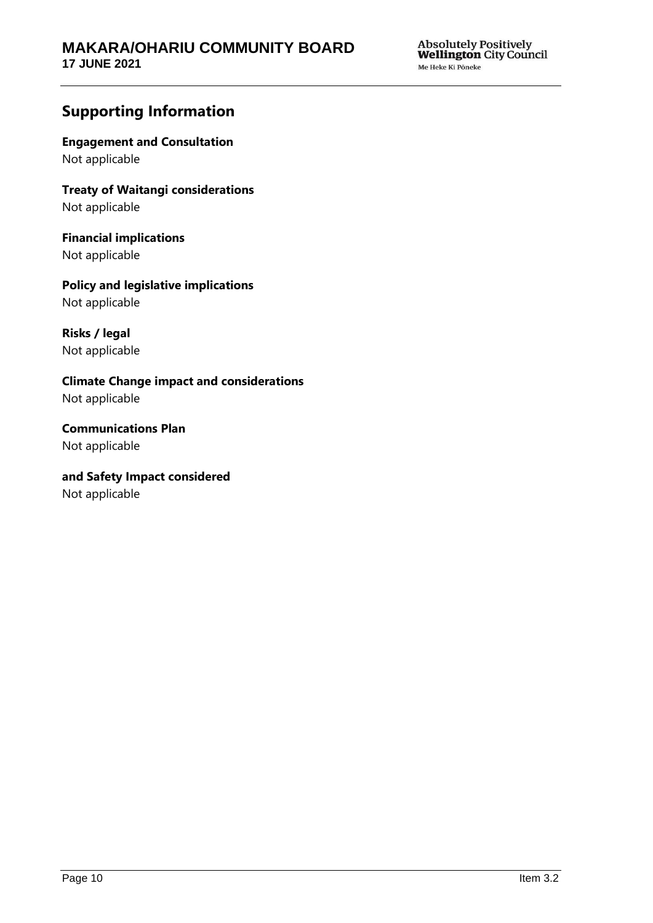## **Supporting Information**

**Engagement and Consultation** Not applicable

**Treaty of Waitangi considerations** Not applicable

**Financial implications** Not applicable

**Policy and legislative implications** Not applicable

**Risks / legal**  Not applicable

**Climate Change impact and considerations** Not applicable

**Communications Plan** Not applicable

## **and Safety Impact considered**

Not applicable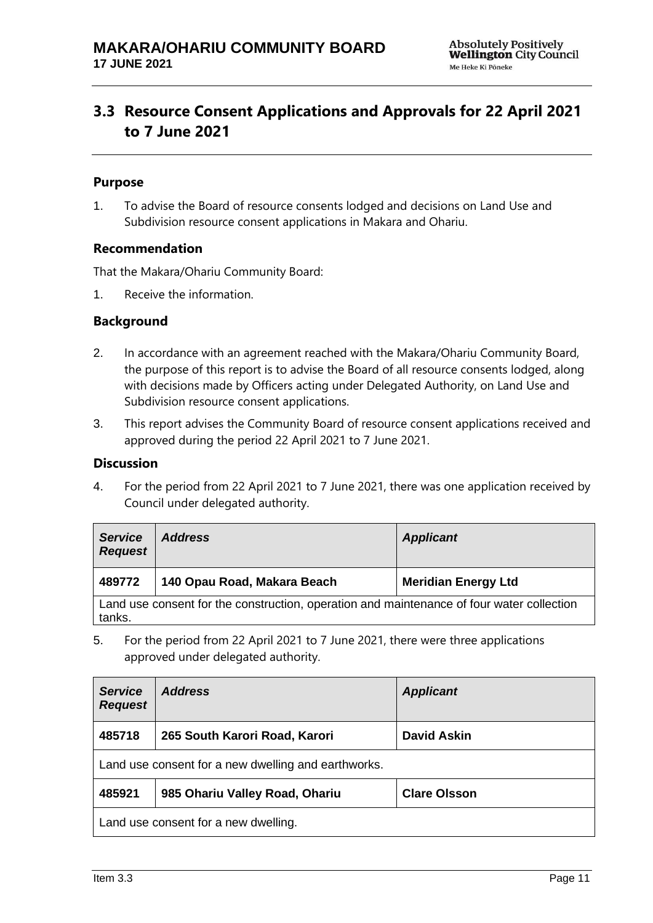## <span id="page-10-0"></span>**3.3 Resource Consent Applications and Approvals for 22 April 2021 to 7 June 2021**

#### **Purpose**

1. To advise the Board of resource consents lodged and decisions on Land Use and Subdivision resource consent applications in Makara and Ohariu.

#### **Recommendation**

That the Makara/Ohariu Community Board:

1. Receive the information.

#### **Background**

- 2. In accordance with an agreement reached with the Makara/Ohariu Community Board, the purpose of this report is to advise the Board of all resource consents lodged, along with decisions made by Officers acting under Delegated Authority, on Land Use and Subdivision resource consent applications.
- 3. This report advises the Community Board of resource consent applications received and approved during the period 22 April 2021 to 7 June 2021.

#### **Discussion**

4. For the period from 22 April 2021 to 7 June 2021, there was one application received by Council under delegated authority.

| <b>Service</b><br><b>Request</b>                                                                    | <b>Address</b>              | <b>Applicant</b>           |
|-----------------------------------------------------------------------------------------------------|-----------------------------|----------------------------|
| 489772                                                                                              | 140 Opau Road, Makara Beach | <b>Meridian Energy Ltd</b> |
| Land use consent for the construction, operation and maintenance of four water collection<br>tanks. |                             |                            |

5. For the period from 22 April 2021 to 7 June 2021, there were three applications approved under delegated authority.

| <b>Service</b><br><b>Request</b>                    | <b>Address</b>                 | <b>Applicant</b>    |
|-----------------------------------------------------|--------------------------------|---------------------|
| 485718                                              | 265 South Karori Road, Karori  | <b>David Askin</b>  |
| Land use consent for a new dwelling and earthworks. |                                |                     |
| 485921                                              | 985 Ohariu Valley Road, Ohariu | <b>Clare Olsson</b> |
| Land use consent for a new dwelling.                |                                |                     |